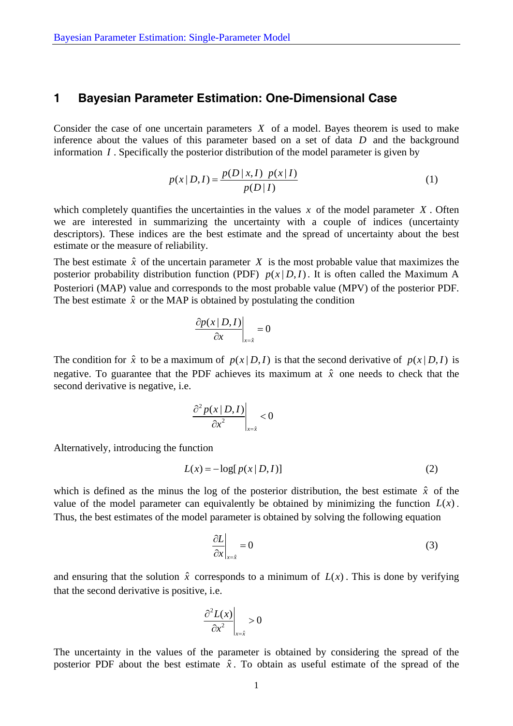## **1 Bayesian Parameter Estimation: One-Dimensional Case**

Consider the case of one uncertain parameters *X* of a model. Bayes theorem is used to make inference about the values of this parameter based on a set of data *D* and the background information *I* . Specifically the posterior distribution of the model parameter is given by

$$
p(x | D, I) = \frac{p(D | x, I) \ p(x | I)}{p(D | I)}
$$
\n(1)

which completely quantifies the uncertainties in the values  $x$  of the model parameter  $X$ . Often we are interested in summarizing the uncertainty with a couple of indices (uncertainty descriptors). These indices are the best estimate and the spread of uncertainty about the best estimate or the measure of reliability.

The best estimate  $\hat{x}$  of the uncertain parameter  $X$  is the most probable value that maximizes the posterior probability distribution function (PDF)  $p(x|D, I)$ . It is often called the Maximum A Posteriori (MAP) value and corresponds to the most probable value (MPV) of the posterior PDF. The best estimate  $\hat{x}$  or the MAP is obtained by postulating the condition

$$
\left.\frac{\partial p(x \mid D, I)}{\partial x}\right|_{x=\hat{x}} = 0
$$

The condition for  $\hat{x}$  to be a maximum of  $p(x | D, I)$  is that the second derivative of  $p(x | D, I)$  is negative. To guarantee that the PDF achieves its maximum at  $\hat{x}$  one needs to check that the second derivative is negative, i.e.

$$
\left.\frac{\partial^2 p(x \mid D, I)}{\partial x^2}\right|_{x=\hat{x}} < 0
$$

Alternatively, introducing the function

$$
L(x) = -\log[p(x \mid D, I)] \tag{2}
$$

which is defined as the minus the log of the posterior distribution, the best estimate  $\hat{x}$  of the value of the model parameter can equivalently be obtained by minimizing the function  $L(x)$ . Thus, the best estimates of the model parameter is obtained by solving the following equation

$$
\left. \frac{\partial L}{\partial x} \right|_{x=\hat{x}} = 0 \tag{3}
$$

and ensuring that the solution  $\hat{x}$  corresponds to a minimum of  $L(x)$ . This is done by verifying that the second derivative is positive, i.e.

$$
\left.\frac{\partial^2 L(x)}{\partial x^2}\right|_{x=\hat{x}}>0
$$

The uncertainty in the values of the parameter is obtained by considering the spread of the posterior PDF about the best estimate  $\hat{x}$ . To obtain as useful estimate of the spread of the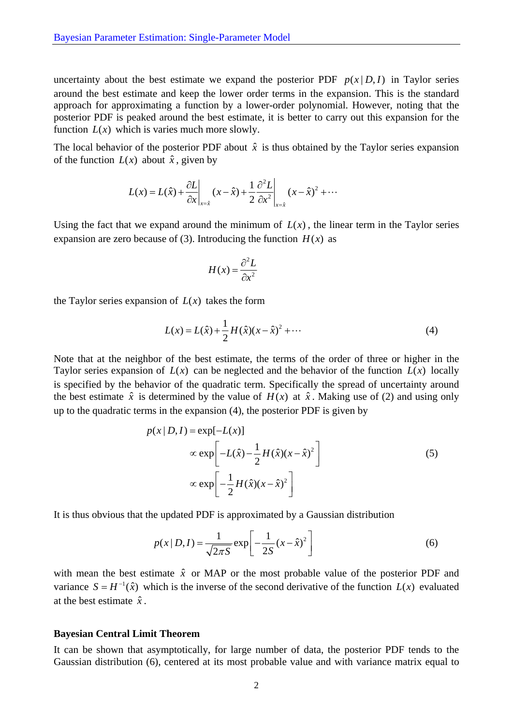uncertainty about the best estimate we expand the posterior PDF  $p(x|D, I)$  in Taylor series around the best estimate and keep the lower order terms in the expansion. This is the standard approach for approximating a function by a lower-order polynomial. However, noting that the posterior PDF is peaked around the best estimate, it is better to carry out this expansion for the function  $L(x)$  which is varies much more slowly.

The local behavior of the posterior PDF about  $\hat{x}$  is thus obtained by the Taylor series expansion of the function  $L(x)$  about  $\hat{x}$ , given by

$$
L(x) = L(\hat{x}) + \frac{\partial L}{\partial x}\bigg|_{x=\hat{x}} (x - \hat{x}) + \frac{1}{2} \frac{\partial^2 L}{\partial x^2}\bigg|_{x=\hat{x}} (x - \hat{x})^2 + \cdots
$$

Using the fact that we expand around the minimum of  $L(x)$ , the linear term in the Taylor series expansion are zero because of (3). Introducing the function  $H(x)$  as

$$
H(x) = \frac{\partial^2 L}{\partial x^2}
$$

the Taylor series expansion of  $L(x)$  takes the form

$$
L(x) = L(\hat{x}) + \frac{1}{2}H(\hat{x})(x - \hat{x})^2 + \cdots
$$
 (4)

Note that at the neighbor of the best estimate, the terms of the order of three or higher in the Taylor series expansion of  $L(x)$  can be neglected and the behavior of the function  $L(x)$  locally is specified by the behavior of the quadratic term. Specifically the spread of uncertainty around the best estimate  $\hat{x}$  is determined by the value of  $H(x)$  at  $\hat{x}$ . Making use of (2) and using only up to the quadratic terms in the expansion (4), the posterior PDF is given by

$$
p(x | D, I) = \exp[-L(x)]
$$
  
\n
$$
\propto \exp\left[-L(\hat{x}) - \frac{1}{2}H(\hat{x})(x - \hat{x})^2\right]
$$
  
\n
$$
\propto \exp\left[-\frac{1}{2}H(\hat{x})(x - \hat{x})^2\right]
$$
\n(5)

It is thus obvious that the updated PDF is approximated by a Gaussian distribution

$$
p(x|D,I) = \frac{1}{\sqrt{2\pi S}} \exp\left[-\frac{1}{2S}(x-\hat{x})^2\right]
$$
 (6)

with mean the best estimate  $\hat{x}$  or MAP or the most probable value of the posterior PDF and variance  $S = H^{-1}(\hat{x})$  which is the inverse of the second derivative of the function  $L(x)$  evaluated at the best estimate  $\hat{x}$ .

## **Bayesian Central Limit Theorem**

It can be shown that asymptotically, for large number of data, the posterior PDF tends to the Gaussian distribution (6), centered at its most probable value and with variance matrix equal to